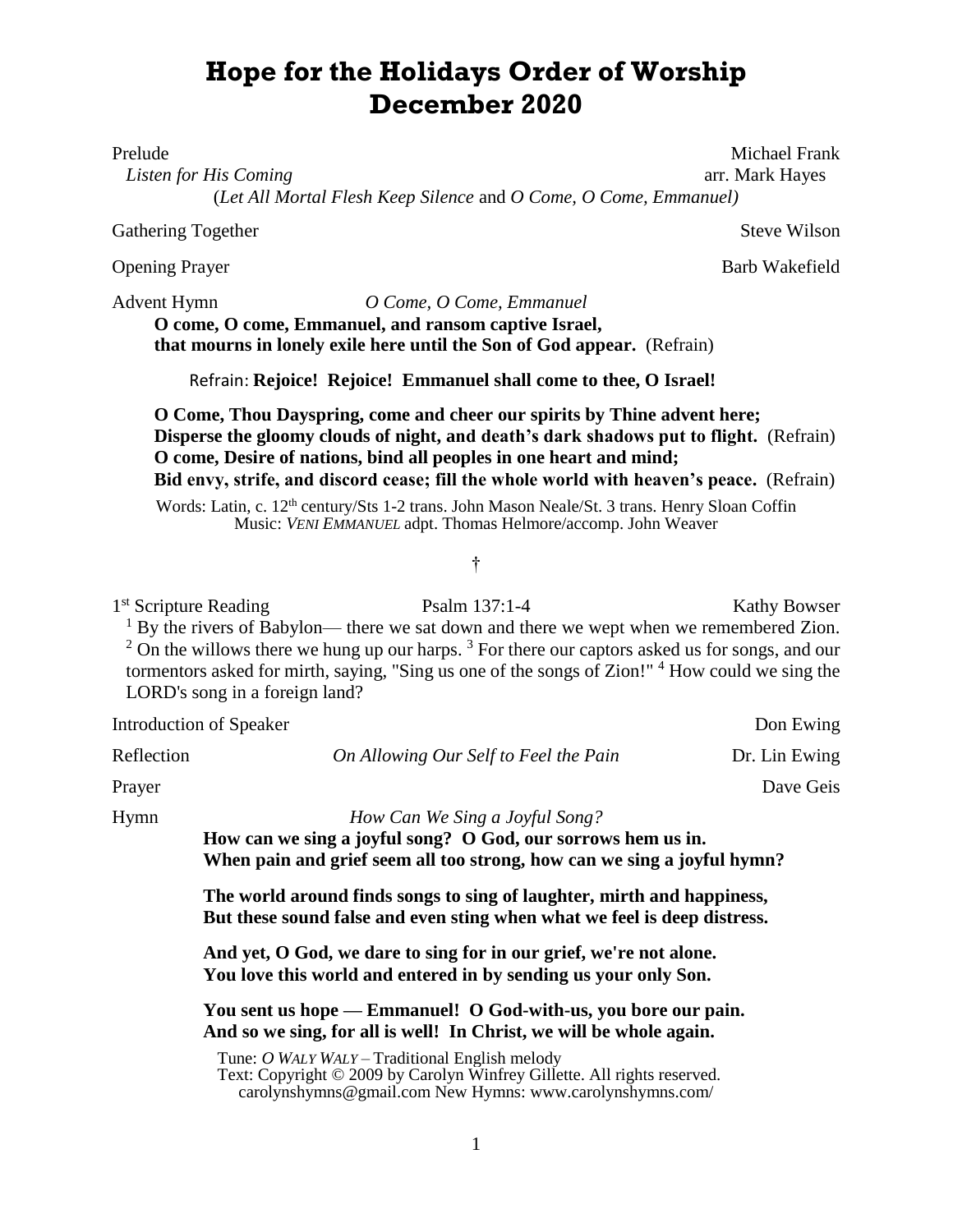# **Hope for the Holidays Order of Worship December 2020**

*Listen for His Coming* **arrival in the comparator of the community of the community of the community of the community of the community of the community of the community of the community of the community of the community o** 

(*Let All Mortal Flesh Keep Silence* and *O Come, O Come, Emmanuel)*

Gathering Together Steve Wilson

Advent Hymn *O Come, O Come, Emmanuel*

**O come, O come, Emmanuel, and ransom captive Israel, that mourns in lonely exile here until the Son of God appear.** (Refrain)

Refrain: **Rejoice! Rejoice! Emmanuel shall come to thee, O Israel!**

**O Come, Thou Dayspring, come and cheer our spirits by Thine advent here; Disperse the gloomy clouds of night, and death's dark shadows put to flight.** (Refrain) **O come, Desire of nations, bind all peoples in one heart and mind; Bid envy, strife, and discord cease; fill the whole world with heaven's peace.** (Refrain)

Words: Latin, c. 12<sup>th</sup> century/Sts 1-2 trans. John Mason Neale/St. 3 trans. Henry Sloan Coffin Music: *VENI EMMANUEL* adpt. Thomas Helmore/accomp. John Weaver

## †

1<sup>st</sup> Scripture Reading Psalm 137:1-4 Kathy Bowser <sup>1</sup> By the rivers of Babylon— there we sat down and there we wept when we remembered Zion.  $2$  On the willows there we hung up our harps.  $3$  For there our captors asked us for songs, and our tormentors asked for mirth, saying, "Sing us one of the songs of Zion!"  $4$  How could we sing the LORD's song in a foreign land?

Introduction of Speaker Don Ewing Reflection *On Allowing Our Self to Feel the Pain* Dr. Lin Ewing Prayer Dave Geis Hymn *How Can We Sing a Joyful Song?* **How can we sing a joyful song? O God, our sorrows hem us in. When pain and grief seem all too strong, how can we sing a joyful hymn? The world around finds songs to sing of laughter, mirth and happiness, But these sound false and even sting when what we feel is deep distress. And yet, O God, we dare to sing for in our grief, we're not alone. You love this world and entered in by sending us your only Son. You sent us hope — Emmanuel! O God-with-us, you bore our pain. And so we sing, for all is well! In Christ, we will be whole again.**

> Tune: *O WALY WALY –* Traditional English melody Text: Copyright © 2009 by Carolyn Winfrey Gillette. All rights reserved. [carolynshymns@gmail.com](mailto:carolynshymns@gmail.com) New Hymns: [www.carolynshymns.com/](http://www.carolynshymns.com/)

> > 1

Prelude Michael Frank and the Michael Frank and the Michael Frank and the Michael Frank

Opening Prayer Barb Wakefield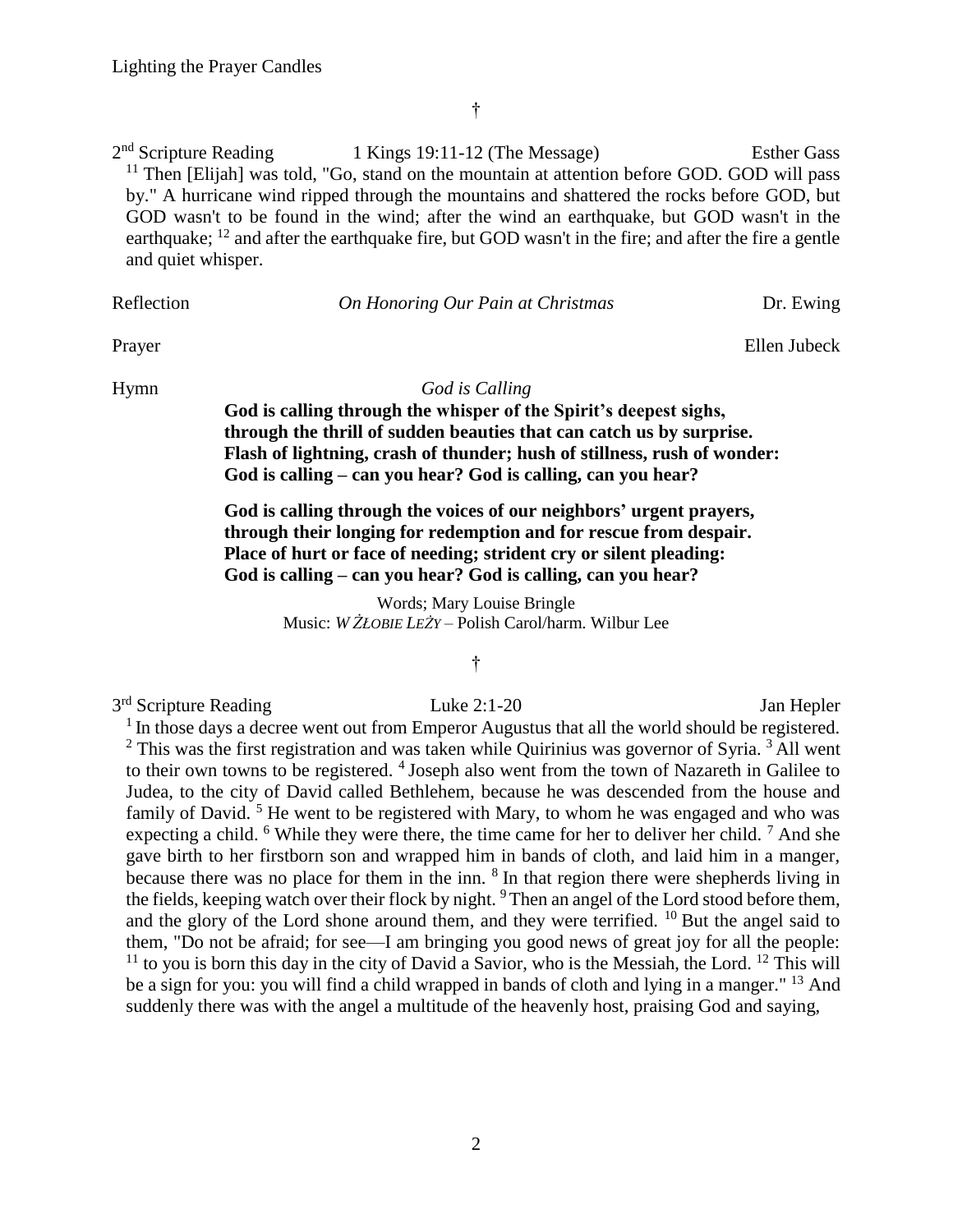†

 $2<sup>nd</sup>$  Scripture Reading 1 Kings 19:11-12 (The Message) Esther Gass  $11$  Then [Elijah] was told, "Go, stand on the mountain at attention before GOD. GOD will pass by." A hurricane wind ripped through the mountains and shattered the rocks before GOD, but GOD wasn't to be found in the wind; after the wind an earthquake, but GOD wasn't in the earthquake; <sup>12</sup> and after the earthquake fire, but GOD wasn't in the fire; and after the fire a gentle and quiet whisper.

Reflection *On Honoring Our Pain at Christmas* Dr. Ewing

Prayer Ellen Jubeck

### Hymn *God is Calling*

**God is calling through the whisper of the Spirit's deepest sighs, through the thrill of sudden beauties that can catch us by surprise. Flash of lightning, crash of thunder; hush of stillness, rush of wonder: God is calling – can you hear? God is calling, can you hear?**

**God is calling through the voices of our neighbors' urgent prayers, through their longing for redemption and for rescue from despair. Place of hurt or face of needing; strident cry or silent pleading: God is calling – can you hear? God is calling, can you hear?**

> Words; Mary Louise Bringle Music: *W ŻŁOBIE LEŻY* – Polish Carol/harm. Wilbur Lee

#### †

3 rd Scripture Reading Luke 2:1-20 Jan Hepler <sup>1</sup> In those days a decree went out from Emperor Augustus that all the world should be registered.  $2$  This was the first registration and was taken while Quirinius was governor of Syria.  $3$  All went to their own towns to be registered. <sup>4</sup> Joseph also went from the town of Nazareth in Galilee to Judea, to the city of David called Bethlehem, because he was descended from the house and family of David.<sup>5</sup> He went to be registered with Mary, to whom he was engaged and who was expecting a child.  $6$  While they were there, the time came for her to deliver her child.  $7$  And she gave birth to her firstborn son and wrapped him in bands of cloth, and laid him in a manger, because there was no place for them in the inn.  $8$  In that region there were shepherds living in the fields, keeping watch over their flock by night. <sup>9</sup>Then an angel of the Lord stood before them, and the glory of the Lord shone around them, and they were terrified.  $^{10}$  But the angel said to them, "Do not be afraid; for see—I am bringing you good news of great joy for all the people:  $11$  to you is born this day in the city of David a Savior, who is the Messiah, the Lord.  $12$  This will be a sign for you: you will find a child wrapped in bands of cloth and lying in a manger." <sup>13</sup> And suddenly there was with the angel a multitude of the heavenly host, praising God and saying,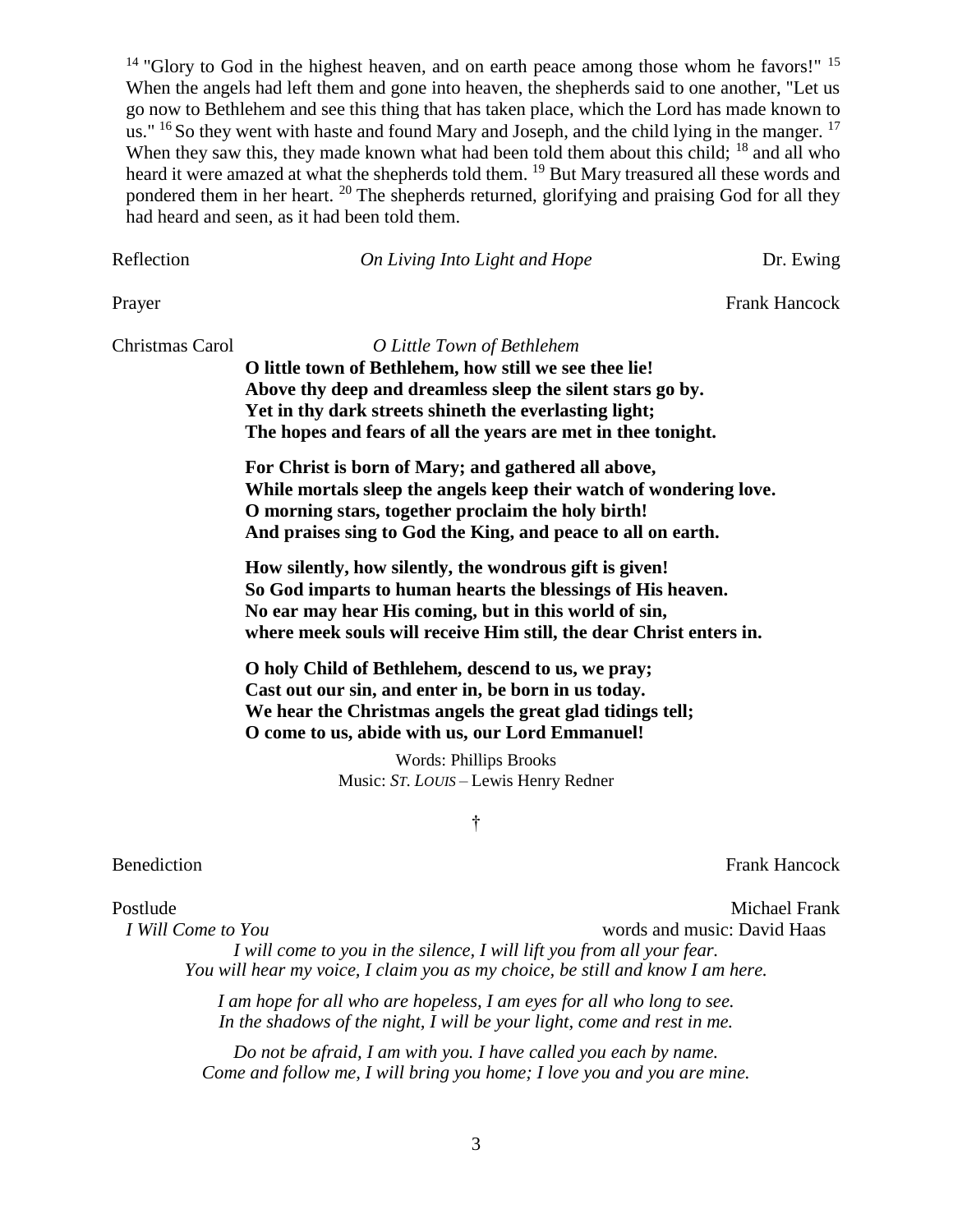$14$  "Glory to God in the highest heaven, and on earth peace among those whom he favors!"  $15$ When the angels had left them and gone into heaven, the shepherds said to one another. "Let us go now to Bethlehem and see this thing that has taken place, which the Lord has made known to us."  $^{16}$  So they went with haste and found Mary and Joseph, and the child lying in the manger.  $^{17}$ When they saw this, they made known what had been told them about this child; <sup>18</sup> and all who heard it were amazed at what the shepherds told them. <sup>19</sup> But Mary treasured all these words and pondered them in her heart. <sup>20</sup> The shepherds returned, glorifying and praising God for all they had heard and seen, as it had been told them.

Reflection *On Living Into Light and Hope* Dr. Ewing

Prayer Frank Hancock

Christmas Carol *O Little Town of Bethlehem* **O little town of Bethlehem, how still we see thee lie! Above thy deep and dreamless sleep the silent stars go by. Yet in thy dark streets shineth the everlasting light; The hopes and fears of all the years are met in thee tonight.**

> **For Christ is born of Mary; and gathered all above, While mortals sleep the angels keep their watch of wondering love. O morning stars, together proclaim the holy birth! And praises sing to God the King, and peace to all on earth.**

**How silently, how silently, the wondrous gift is given! So God imparts to human hearts the blessings of His heaven. No ear may hear His coming, but in this world of sin, where meek souls will receive Him still, the dear Christ enters in.**

**O holy Child of Bethlehem, descend to us, we pray; Cast out our sin, and enter in, be born in us today. We hear the Christmas angels the great glad tidings tell; O come to us, abide with us, our Lord Emmanuel!**

> Words: Phillips Brooks Music: *ST. LOUIS –* Lewis Henry Redner

> > †

Benediction Frank Hancock

Postlude Michael Frank *I Will Come to You* **words and music: David Haas** *I will come to you in the silence, I will lift you from all your fear. You will hear my voice, I claim you as my choice, be still and know I am here.*

> *I am hope for all who are hopeless, I am eyes for all who long to see. In the shadows of the night, I will be your light, come and rest in me.*

*Do not be afraid, I am with you. I have called you each by name. Come and follow me, I will bring you home; I love you and you are mine.*